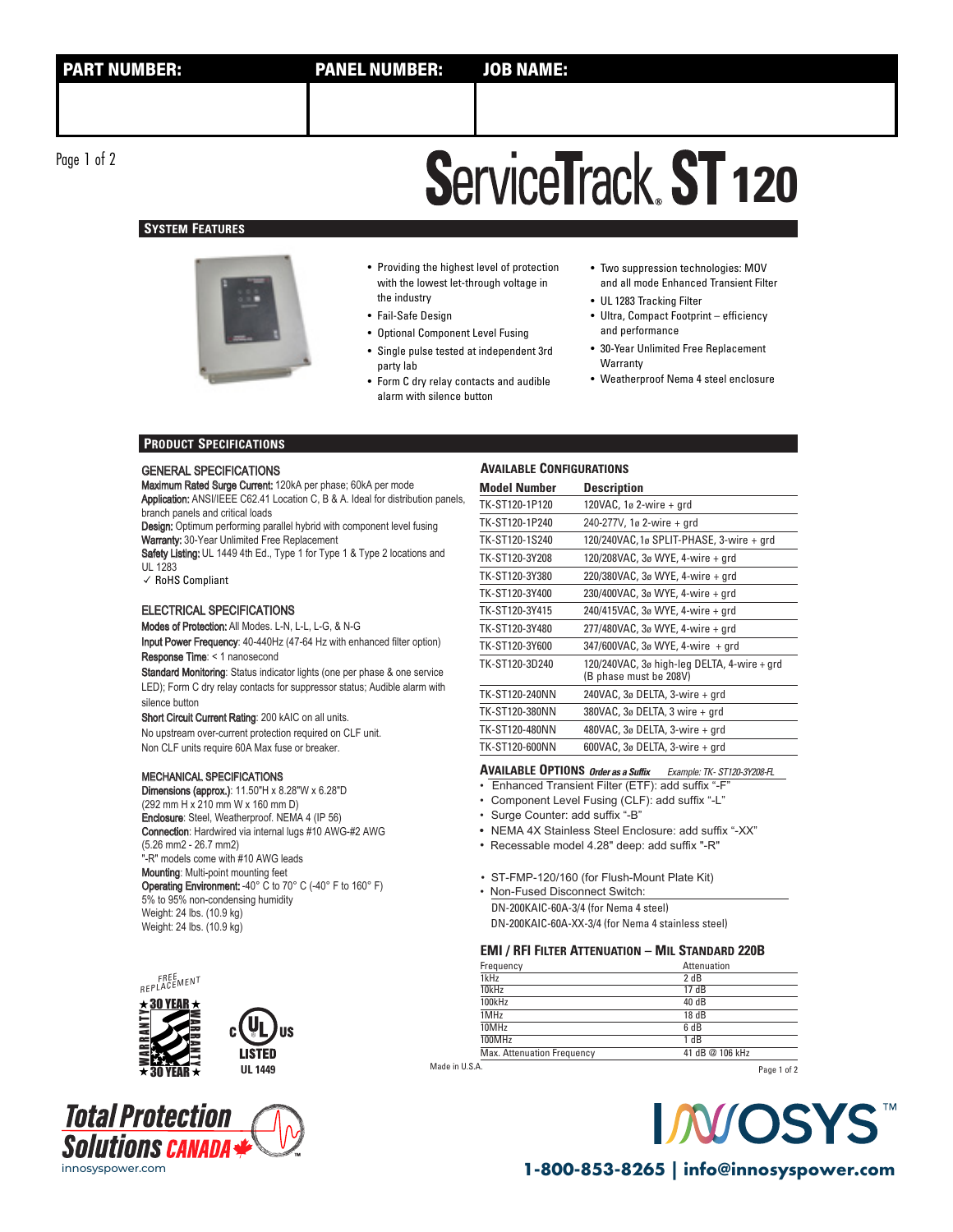Page 1 of 2

## **ServiceTrack ST 120**

## **SYSTEM FEATURES**



• Providing the highest level of protection with the lowest let-through voltage in the industry

- Fail-Safe Design
- Optional Component Level Fusing
- Single pulse tested at independent 3rd party lab
- Form C dry relay contacts and audible alarm with silence button
- Two suppression technologies: MOV and all mode Enhanced Transient Filter
- UL 1283 Tracking Filter
- Ultra, Compact Footprint efficiency and performance
- 30-Year Unlimited Free Replacement Warranty
- Weatherproof Nema 4 steel enclosure

### **PRODUCT SPECIFICATIONS**

### GENERAL SPECIFICATIONS

Maximum Rated Surge Current: 120kA per phase; 60kA per mode Application: ANSI/IEEE C62.41 Location C, B & A. Ideal for distribution panels, branch panels and critical loads

Design: Optimum performing parallel hybrid with component level fusing Warranty: 30-Year Unlimited Free Replacement

Safety Listing: UL 1449 4th Ed., Type 1 for Type 1 & Type 2 locations and UL 1283

✓ RoHS Compliant

### ELECTRICAL SPECIFICATIONS

Modes of Protection: All Modes. L-N, L-L, L-G, & N-G Input Power Frequency: 40-440Hz (47-64 Hz with enhanced filter option) Response Time: < 1 nanosecond

Standard Monitoring: Status indicator lights (one per phase & one service LED); Form C dry relay contacts for suppressor status; Audible alarm with silence button

Short Circuit Current Rating: 200 kAIC on all units. No upstream over-current protection required on CLF unit. Non CLF units require 60A Max fuse or breaker.

### MECHANICAL SPECIFICATIONS

Dimensions (approx.): 11.50"H x 8.28"W x 6.28"D (292 mm H x 210 mm W x 160 mm D) Enclosure: Steel, Weatherproof. NEMA 4 (IP 56) Connection: Hardwired via internal lugs #10 AWG-#2 AWG (5.26 mm2 - 26.7 mm2) "-R" models come with #10 AWG leads Mounting: Multi-point mounting feet Operating Environment: -40° C to 70° C (-40° F to 160° F) 5% to 95% non-condensing humidity Weight: 24 lbs. (10.9 kg) Weight: 24 lbs. (10.9 kg)





| TK-ST120-3Y380 | 220/380VAC, 3ø WYE, 4-wire + grd                 |
|----------------|--------------------------------------------------|
| TK-ST120-3Y400 | 230/400VAC, $3\sigma$ WYE, 4-wire + grd          |
| TV_CT120_2V415 | $240/415$ VAC $2a$ MNE $\Lambda$ -wiro $\mu$ ard |

**Model Number Description**

TK-ST120-1P120 120VAC, 1ø 2-wire + grd TK-ST120-1P240 240-277V, 1ø 2-wire + grd

**AVAILABLE CONFIGURATIONS**

| TK-ST120-3Y415 | 240/415VAC, 3ø WYE, 4-wire + grd                                             |
|----------------|------------------------------------------------------------------------------|
| TK-ST120-3Y480 | 277/480VAC, 3ø WYE, 4-wire + qrd                                             |
| TK-ST120-3Y600 | 347/600VAC, 3ø WYE, 4-wire + qrd                                             |
| TK-ST120-3D240 | 120/240VAC, $3\sigma$ high-leg DELTA, 4-wire + grd<br>(B phase must be 208V) |
| TK-ST120-240NN | 240VAC, 3ø DELTA, 3-wire + grd                                               |
| TK-ST120-380NN | 380VAC, 3ø DELTA, 3 wire + grd                                               |
| TK-ST120-480NN | 480VAC, 3ø DELTA, 3-wire + grd                                               |
| TK-ST120-600NN | 600VAC, 3ø DELTA, 3-wire + grd                                               |

TK-ST120-1S240 120/240VAC,1ø SPLIT-PHASE, 3-wire + grd TK-ST120-3Y208 120/208VAC, 3ø WYE, 4-wire + grd

**AVAILABLE OPTIONS Order as a Suffix** Example: TK- ST120-3Y208- FL

• Enhanced Transient Filter (ETF): add suffix "-F

• Component Level Fusing (CLF): add suffix "-L"

• Surge Counter: add suffix "-B"

• NEMA 4X Stainless Steel Enclosure: add suffix "-XX"

• Recessable model 4.28" deep: add suffix "-R"

• ST-FMP-120/160 (for Flush-Mount Plate Kit)

DN-200KAIC-60A-3/4 (for Nema 4 steel) DN-200KAIC-60A-XX-3/4 (for Nema 4 stainless steel) • Non-Fused Disconnect Switch:

### **EMI / RFI FILTER ATTENUATION – MIL STANDARD 220B**

| Frequency                         | Attenuation     |
|-----------------------------------|-----------------|
| 1kHz                              | 2 dB            |
| 10kHz                             | 17dB            |
| 100kHz                            | 40 dB           |
| 1MHz                              | 18dB            |
| 10MHz                             | 6 dB            |
| 100MHz                            | 1 dB            |
| <b>Max. Attenuation Frequency</b> | 41 dB @ 106 kHz |

Made in U.S.A.

Page 1 of 2